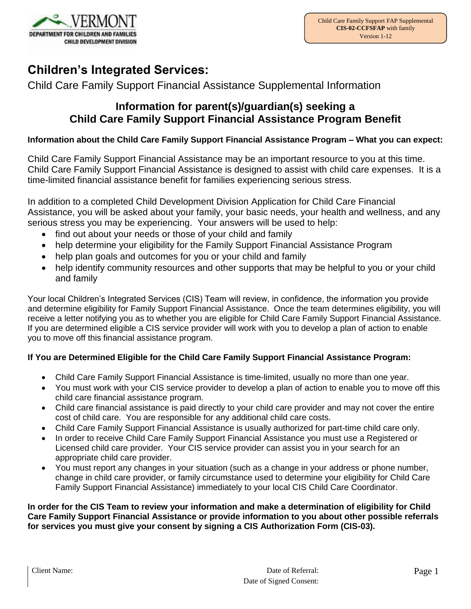

# **Children's Integrated Services:**

Child Care Family Support Financial Assistance Supplemental Information

### **Information for parent(s)/guardian(s) seeking a Child Care Family Support Financial Assistance Program Benefit**

#### **Information about the Child Care Family Support Financial Assistance Program – What you can expect:**

Child Care Family Support Financial Assistance may be an important resource to you at this time. Child Care Family Support Financial Assistance is designed to assist with child care expenses. It is a time-limited financial assistance benefit for families experiencing serious stress.

In addition to a completed Child Development Division Application for Child Care Financial Assistance, you will be asked about your family, your basic needs, your health and wellness, and any serious stress you may be experiencing. Your answers will be used to help:

- find out about your needs or those of your child and family
- help determine your eligibility for the Family Support Financial Assistance Program
- help plan goals and outcomes for you or your child and family
- help identify community resources and other supports that may be helpful to you or your child and family

Your local Children's Integrated Services (CIS) Team will review, in confidence, the information you provide and determine eligibility for Family Support Financial Assistance. Once the team determines eligibility, you will receive a letter notifying you as to whether you are eligible for Child Care Family Support Financial Assistance. If you are determined eligible a CIS service provider will work with you to develop a plan of action to enable you to move off this financial assistance program.

#### **If You are Determined Eligible for the Child Care Family Support Financial Assistance Program:**

- Child Care Family Support Financial Assistance is time-limited, usually no more than one year.
- You must work with your CIS service provider to develop a plan of action to enable you to move off this child care financial assistance program.
- Child care financial assistance is paid directly to your child care provider and may not cover the entire cost of child care. You are responsible for any additional child care costs.
- Child Care Family Support Financial Assistance is usually authorized for part-time child care only.
- In order to receive Child Care Family Support Financial Assistance you must use a Registered or Licensed child care provider. Your CIS service provider can assist you in your search for an appropriate child care provider.
- You must report any changes in your situation (such as a change in your address or phone number, change in child care provider, or family circumstance used to determine your eligibility for Child Care Family Support Financial Assistance) immediately to your local CIS Child Care Coordinator.

**In order for the CIS Team to review your information and make a determination of eligibility for Child Care Family Support Financial Assistance or provide information to you about other possible referrals for services you must give your consent by signing a CIS Authorization Form (CIS-03).**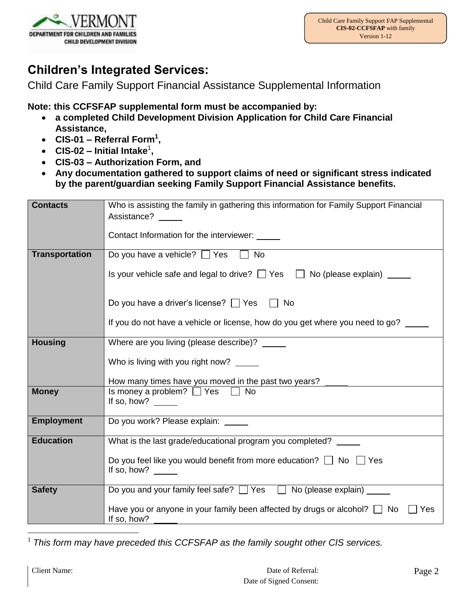

# **Children's Integrated Services:**

Child Care Family Support Financial Assistance Supplemental Information

**Note: this CCFSFAP supplemental form must be accompanied by:**

- **a completed Child Development Division Application for Child Care Financial Assistance,**
- **CIS-01 – Referral Form<sup>1</sup> ,**
- **CIS-02 – Initial Intake**<sup>1</sup> **,**
- **CIS-03 – Authorization Form, and**
- **Any documentation gathered to support claims of need or significant stress indicated by the parent/guardian seeking Family Support Financial Assistance benefits.**

| <b>Contacts</b>       | Who is assisting the family in gathering this information for Family Support Financial<br>Assistance?                         |
|-----------------------|-------------------------------------------------------------------------------------------------------------------------------|
|                       | Contact Information for the interviewer:                                                                                      |
| <b>Transportation</b> | Do you have a vehicle? $\Box$ Yes<br>$\sqcap$ No                                                                              |
|                       | Is your vehicle safe and legal to drive? $\Box$ Yes $\Box$ No (please explain) $\Box$                                         |
|                       | Do you have a driver's license? $\Box$ Yes $\Box$ No                                                                          |
|                       | If you do not have a vehicle or license, how do you get where you need to go?                                                 |
| <b>Housing</b>        | Where are you living (please describe)? _____                                                                                 |
|                       | Who is living with you right now?                                                                                             |
|                       | How many times have you moved in the past two years? _____                                                                    |
| <b>Money</b>          | Is money a problem? $\Box$ Yes $\Box$ No<br>If so, how?                                                                       |
| <b>Employment</b>     | Do you work? Please explain:                                                                                                  |
| <b>Education</b>      | What is the last grade/educational program you completed?                                                                     |
|                       | Do you feel like you would benefit from more education? $\Box$ No $\Box$ Yes<br>If so, how? $\frac{1}{\sqrt{1-\frac{1}{2}}}\$ |
| <b>Safety</b>         | Do you and your family feel safe? □ Yes □ No (please explain) ____                                                            |
|                       | Have you or anyone in your family been affected by drugs or alcohol? $\Box$ No<br>Yes<br>If so, how?                          |

1 *This form may have preceded this CCFSFAP as the family sought other CIS services.*

 $\overline{a}$